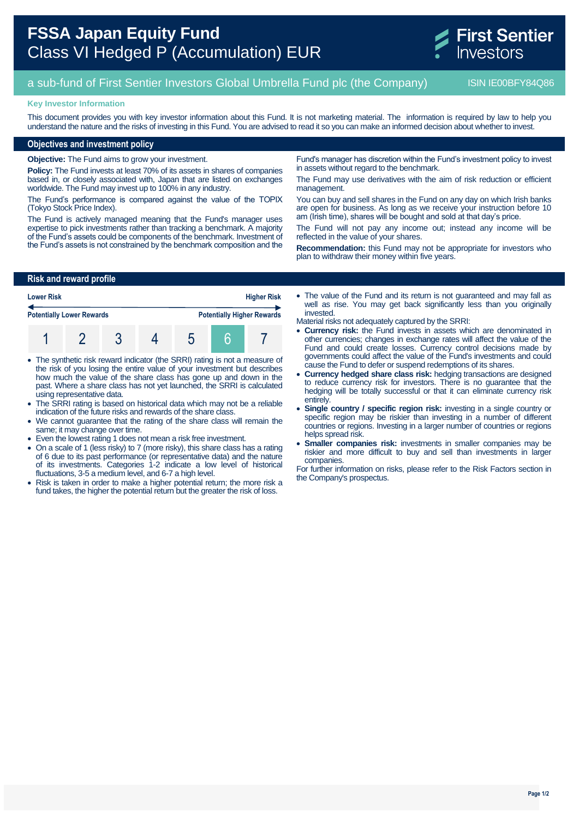# **FSSA Japan Equity Fund** Class VI Hedged P (Accumulation) EUR



## a sub-fund of First Sentier Investors Global Umbrella Fund plc (the Company) ISIN IE00BFY84Q86

### **Key Investor Information**

This document provides you with key investor information about this Fund. It is not marketing material. The information is required by law to help you understand the nature and the risks of investing in this Fund. You are advised to read it so you can make an informed decision about whether to invest.

## **Objectives and investment policy**

**Objective:** The Fund aims to grow your investment.

**Policy:** The Fund invests at least 70% of its assets in shares of companies based in, or closely associated with, Japan that are listed on exchanges worldwide. The Fund may invest up to 100% in any industry.

The Fund's performance is compared against the value of the TOPIX (Tokyo Stock Price Index).

The Fund is actively managed meaning that the Fund's manager uses expertise to pick investments rather than tracking a benchmark. A majority of the Fund's assets could be components of the benchmark. Investment of the Fund's assets is not constrained by the benchmark composition and the

Fund's manager has discretion within the Fund's investment policy to invest in assets without regard to the benchmark.

The Fund may use derivatives with the aim of risk reduction or efficient management.

You can buy and sell shares in the Fund on any day on which Irish banks are open for business. As long as we receive your instruction before 10 am (Irish time), shares will be bought and sold at that day's price.

The Fund will not pay any income out; instead any income will be reflected in the value of your shares.

**Recommendation:** this Fund may not be appropriate for investors who plan to withdraw their money within five years.

## **Risk and reward profile**

| <b>Lower Risk</b>                |  |  | <b>Higher Risk</b> |                                   |  |  |  |
|----------------------------------|--|--|--------------------|-----------------------------------|--|--|--|
| <b>Potentially Lower Rewards</b> |  |  |                    | <b>Potentially Higher Rewards</b> |  |  |  |
|                                  |  |  |                    |                                   |  |  |  |

- The synthetic risk reward indicator (the SRRI) rating is not a measure of the risk of you losing the entire value of your investment but describes how much the value of the share class has gone up and down in the past. Where a share class has not yet launched, the SRRI is calculated using representative data.
- The SRRI rating is based on historical data which may not be a reliable indication of the future risks and rewards of the share class.
- We cannot guarantee that the rating of the share class will remain the same; it may change over time.
- Even the lowest rating 1 does not mean a risk free investment.
- On a scale of 1 (less risky) to 7 (more risky), this share class has a rating of 6 due to its past performance (or representative data) and the nature of its investments. Categories 1-2 indicate a low level of historical fluctuations, 3-5 a medium level, and 6-7 a high level.
- Risk is taken in order to make a higher potential return; the more risk a fund takes, the higher the potential return but the greater the risk of loss.

• The value of the Fund and its return is not guaranteed and may fall as well as rise. You may get back significantly less than you originally invested.

Material risks not adequately captured by the SRRI:

- **Currency risk:** the Fund invests in assets which are denominated in other currencies; changes in exchange rates will affect the value of the Fund and could create losses. Currency control decisions made by governments could affect the value of the Fund's investments and could cause the Fund to defer or suspend redemptions of its shares.
- **Currency hedged share class risk:** hedging transactions are designed to reduce currency risk for investors. There is no guarantee that the hedging will be totally successful or that it can eliminate currency risk entirely.
- **Single country / specific region risk:** investing in a single country or specific region may be riskier than investing in a number of different countries or regions. Investing in a larger number of countries or regions helps spread risk.
- **Smaller companies risk:** investments in smaller companies may be riskier and more difficult to buy and sell than investments in larger companies.

For further information on risks, please refer to the Risk Factors section in the Company's prospectus.